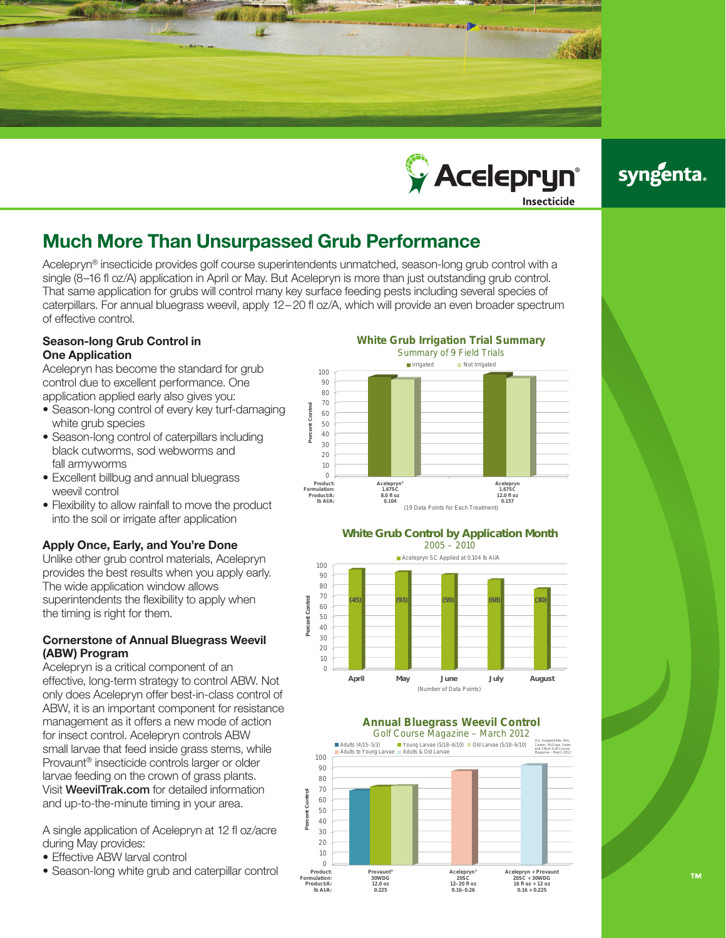



# syngenta.

## Much More Than Unsurpassed Grub Performance

Acelepryn® insecticide provides golf course superintendents unmatched, season-long grub control with a single (8–16 fl oz/A) application in April or May. But Acelepryn is more than just outstanding grub control. That same application for grubs will control many key surface feeding pests including several species of caterpillars. For annual bluegrass weevil, apply 12–20 fl oz/A, which will provide an even broader spectrum of effective control.

## Season-long Grub Control in One Application

Acelepryn has become the standard for grub control due to excellent performance. One application applied early also gives you:

- Season-long control of every key turf-damaging white grub species
- Season-long control of caterpillars including black cutworms, sod webworms and fall armyworms
- Excellent billbug and annual bluegrass weevil control
- Flexibility to allow rainfall to move the product into the soil or irrigate after application

## Apply Once, Early, and You're Done

Unlike other grub control materials, Acelepryn provides the best results when you apply early. The wide application window allows superintendents the flexibility to apply when the timing is right for them.

#### Cornerstone of Annual Bluegrass Weevil (ABW) Program

Acelepryn is a critical component of an effective, long-term strategy to control ABW. Not only does Acelepryn offer best-in-class control of ABW, it is an important component for resistance management as it offers a new mode of action for insect control. Acelepryn controls ABW small larvae that feed inside grass stems, while Provaunt® insecticide controls larger or older larvae feeding on the crown of grass plants. Visit WeevilTrak.com for detailed information and up-to-the-minute timing in your area.

A single application of Acelepryn at 12 fl oz/acre during May provides:

- Effective ABW larval control
- Season-long white grub and caterpillar control

**White Grub Irrigation Trial Summary** Summary of 9 Field Trials Irrigated Not Irrigated 100 90 80 70 **Percent Control** 60 Cont 50 40 ă 30  $20$ 10  $\theta$ **Product: Acelepryn® 1.67SC Acelepryn 1.67SC Formulation: Product/A: lb AI/A: 8.0 fl oz 0.104 12.0 fl oz 0.157** (19 Data Points for Each Treatment)

#### **White Grub Control by Application Month** 2005 – 2010



## **Annual Bluegrass Weevil Control**